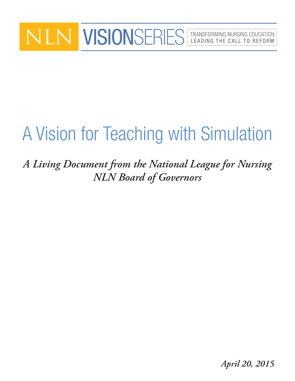# VISIONSERIES | TRANSFORMING NURSING EDUCATION LEADING THE CALL TO REFORM

# A Vision for Teaching with Simulation

*A Living Document from the National League for Nursing NLN Board of Governors*

*April 20, 2015*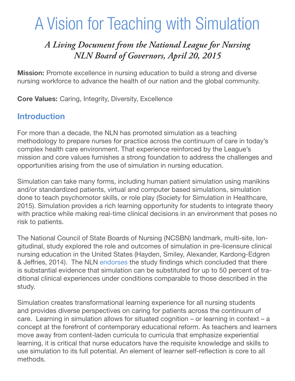# A Vision for Teaching with Simulation

## *A Living Document from the National League for Nursing NLN Board of Governors, April 20, 2015*

**Mission:** Promote excellence in nursing education to build a strong and diverse nursing workforce to advance the health of our nation and the global community.

Core Values: Caring, Integrity, Diversity, Excellence

#### Introduction

For more than a decade, the NLN has promoted simulation as a teaching methodology to prepare nurses for practice across the continuum of care in today's complex health care environment. That experience reinforced by the League's mission and core values furnishes a strong foundation to address the challenges and opportunities arising from the use of simulation in nursing education.

Simulation can take many forms, including human patient simulation using manikins and/or standardized patients, virtual and computer based simulations, simulation done to teach psychomotor skills, or role play (Society for Simulation in Healthcare, 2015). Simulation provides a rich learning opportunity for students to integrate theory with practice while making real-time clinical decisions in an environment that poses no risk to patients.

The National Council of State Boards of Nursing (NCSBN) landmark, multi-site, longitudinal, study explored the role and outcomes of simulation in pre-licensure clinical nursing education in the United States (Hayden, Smiley, Alexander, Kardong-Edgren & Jeffries, 2014). The NLN endorses the study findings which concluded that there is substantial evidence that simulation can be substituted for up to 50 percent of traditional clinical experiences under conditions comparable to those described in the study.

Simulation creates transformational learning experience for all nursing students and provides diverse perspectives on caring for patients across the continuum of care. Learning in simulation allows for situated cognition – or learning in context – a concept at the forefront of contemporary educational reform. As teachers and learners move away from content-laden curricula to curricula that emphasize experiential learning, it is critical that nurse educators have the requisite knowledge and skills to use simulation to its full potential. An element of learner self-reflection is core to all methods.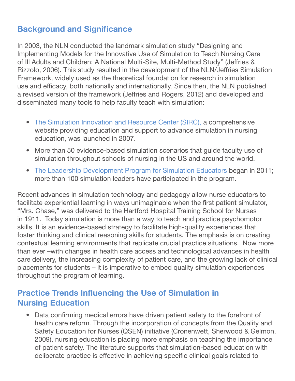#### Background and Significance

In 2003, the NLN conducted the landmark simulation study "Designing and Implementing Models for the Innovative Use of Simulation to Teach Nursing Care of Ill Adults and Children: A National Multi-Site, Multi-Method Study" (Jeffries & Rizzolo, 2006). This study resulted in the development of the NLN/Jeffries Simulation Framework, widely used as the theoretical foundation for research in simulation use and efficacy, both nationally and internationally. Since then, the NLN published a revised version of the framework (Jeffries and Rogers, 2012) and developed and disseminated many tools to help faculty teach with simulation:

- The Simulation Innovation and Resource Center (SIRC), a comprehensive website providing education and support to advance simulation in nursing education, was launched in 2007.
- More than 50 evidence-based simulation scenarios that guide faculty use of simulation throughout schools of nursing in the US and around the world.
- The Leadership Development Program for Simulation Educators began in 2011; more than 100 simulation leaders have participated in the program.

Recent advances in simulation technology and pedagogy allow nurse educators to facilitate experiential learning in ways unimaginable when the first patient simulator, "Mrs. Chase," was delivered to the Hartford Hospital Training School for Nurses in 1911. Today simulation is more than a way to teach and practice psychomotor skills. It is an evidence-based strategy to facilitate high-quality experiences that foster thinking and clinical reasoning skills for students. The emphasis is on creating contextual learning environments that replicate crucial practice situations. Now more than ever –with changes in health care access and technological advances in health care delivery, the increasing complexity of patient care, and the growing lack of clinical placements for students – it is imperative to embed quality simulation experiences throughout the program of learning.

#### Practice Trends Influencing the Use of Simulation in Nursing Education

• Data confirming medical errors have driven patient safety to the forefront of health care reform. Through the incorporation of concepts from the Quality and Safety Education for Nurses (QSEN) initiative (Cronenwett, Sherwood & Gelmon, 2009), nursing education is placing more emphasis on teaching the importance of patient safety. The literature supports that simulation-based education with deliberate practice is effective in achieving specific clinical goals related to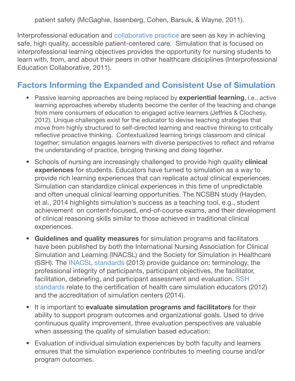Interprofessional education and collaborative practice are seen as key in achieving safe, high quality, accessible patient-centered care. Simulation that is focused on interprofessional learning objectives provides the opportunity for nursing students to learn with, from, and about their peers in other healthcare disciplines (Interprofessional Education Collaborative, 2011).

#### Factors Informing the Expanded and Consistent Use of Simulation

- Passive learning approaches are being replaced by **experiential learning**, i.e., active learning approaches whereby students become the center of the teaching and change from mere consumers of education to engaged active learners (Jeffries & Clochesy, 2012). Unique challenges exist for the educator to devise teaching strategies that move from highly structured to self-directed learning and reactive thinking to critically reflective proactive thinking. Contextualized learning brings classroom and clinical together; simulation engages learners with diverse perspectives to reflect and reframe the understanding of practice, bringing thinking and doing together.
- Schools of nursing are increasingly challenged to provide high quality **clinical** experiences for students. Educators have turned to simulation as a way to provide rich learning experiences that can replicate actual clinical experiences. Simulation can standardize clinical experiences in this time of unpredictable and often unequal clinical learning opportunities. The NCSBN study (Hayden, et al., 2014 highlights simulation's success as a teaching tool, e.g., student achievement on content-focused, end-of-course exams, and their development of clinical reasoning skills similar to those achieved in traditional clinical experiences.
- Guidelines and quality measures for simulation programs and facilitators have been published by both the International Nursing Association for Clinical Simulation and Learning (INACSL) and the Society for Simulation in Healthcare (SSH). The INACSL standards (2013) provide guidance on: terminology, the professional integrity of participants, participant objectives, the facilitator, facilitation, debriefing, and participant assessment and evaluation. SSH standards relate to the certification of health care simulation educators (2012) and the accreditation of simulation centers (2014).
- It is important to evaluate simulation programs and facilitators for their ability to support program outcomes and organizational goals. Used to drive continuous quality improvement, three evaluation perspectives are valuable when assessing the quality of simulation based education:
- Evaluation of individual simulation experiences by both faculty and learners ensures that the simulation experience contributes to meeting course and/or program outcomes.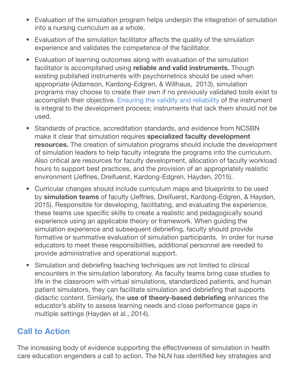- • Evaluation of the simulation program helps underpin the integration of simulation into a nursing curriculum as a whole.
- Evaluation of the simulation facilitator affects the quality of the simulation experience and validates the competence of the facilitator.
- Evaluation of learning outcomes along with evaluation of the simulation facilitator is accomplished using reliable and valid instruments. Though existing published instruments with psychometrics should be used when appropriate (Adamson, Kardong-Edgren, & Willhaus, 2013), simulation programs may choose to create their own if no previously validated tools exist to accomplish their objective. Ensuring the validity and reliability of the instrument is integral to the development process; instruments that lack them should not be used.
- Standards of practice, accreditation standards, and evidence from NCSBN make it clear that simulation requires specialized faculty development resources. The creation of simulation programs should include the development of simulation leaders to help faculty integrate the programs into the curriculum. Also critical are resources for faculty development, allocation of faculty workload hours to support best practices, and the provision of an appropriately realistic environment (Jeffries, Dreifuerst, Kardong-Edgren, Hayden, 2015).
- Curricular changes should include curriculum maps and blueprints to be used by simulation teams of faculty (Jeffries, Dreifuerst, Kardong-Edgren, & Hayden, 2015). Responsible for developing, facilitating, and evaluating the experience, these teams use specific skills to create a realistic and pedagogically sound experience using an applicable theory or framework. When guiding the simulation experience and subsequent debriefing, faculty should provide formative or summative evaluation of simulation participants. In order for nurse educators to meet these responsibilities, additional personnel are needed to provide administrative and operational support.
- Simulation and debriefing teaching techniques are not limited to clinical encounters in the simulation laboratory. As faculty teams bring case studies to life in the classroom with virtual simulations, standardized patients, and human patient simulators, they can facilitate simulation and debriefing that supports didactic content. Similarly, the use of theory-based debriefing enhances the educator's ability to assess learning needs and close performance gaps in multiple settings (Hayden et al., 2014).

#### Call to Action

The increasing body of evidence supporting the effectiveness of simulation in health care education engenders a call to action. The NLN has identified key strategies and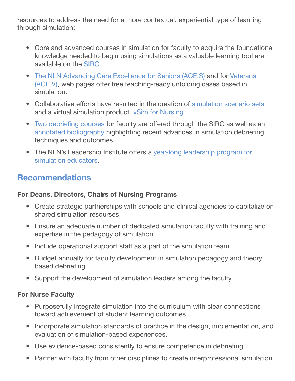resources to address the need for a more contextual, experiential type of learning through simulation:

- Core and advanced courses in simulation for faculty to acquire the foundational knowledge needed to begin using simulations as a valuable learning tool are available on the SIRC.
- The NLN Advancing Care Excellence for Seniors (ACE.S) and for Veterans (ACE.V), web pages offer free teaching-ready unfolding cases based in simulation.
- Collaborative efforts have resulted in the creation of simulation scenario sets and a virtual simulation product. vSim for Nursing
- Two debriefing courses for faculty are offered through the SIRC as well as an annotated bibliography highlighting recent advances in simulation debriefing techniques and outcomes
- The NLN's Leadership Institute offers a year-long leadership program for simulation educators.

#### Recommendations

#### For Deans, Directors, Chairs of Nursing Programs

- Create strategic partnerships with schools and clinical agencies to capitalize on shared simulation resourses.
- Ensure an adequate number of dedicated simulation faculty with training and expertise in the pedagogy of simulation.
- Include operational support staff as a part of the simulation team.
- Budget annually for faculty development in simulation pedagogy and theory based debriefing.
- Support the development of simulation leaders among the faculty.

#### For Nurse Faculty

- Purposefully integrate simulation into the curriculum with clear connections toward achievement of student learning outcomes.
- Incorporate simulation standards of practice in the design, implementation, and evaluation of simulation-based experiences.
- Use evidence-based consistently to ensure competence in debriefing.
- Partner with faculty from other disciplines to create interprofessional simulation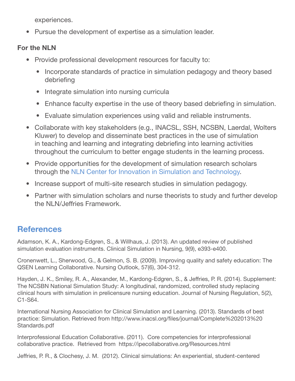experiences.

• Pursue the development of expertise as a simulation leader.

#### For the NLN

- Provide professional development resources for faculty to:
	- Incorporate standards of practice in simulation pedagogy and theory based debriefing
	- Integrate simulation into nursing curricula
	- Enhance faculty expertise in the use of theory based debriefing in simulation.
	- Evaluate simulation experiences using valid and reliable instruments.
- Collaborate with key stakeholders (e.g., INACSL, SSH, NCSBN, Laerdal, Wolters Kluwer) to develop and disseminate best practices in the use of simulation in teaching and learning and integrating debriefing into learning activities throughout the curriculum to better engage students in the learning process.
- Provide opportunities for the development of simulation research scholars through the NLN Center for Innovation in Simulation and Technology.
- Increase support of multi-site research studies in simulation pedagogy.
- Partner with simulation scholars and nurse theorists to study and further develop the NLN/Jeffries Framework.

### **References**

Adamson, K. A., Kardong-Edgren, S., & Willhaus, J. (2013). An updated review of published simulation evaluation instruments. Clinical Simulation in Nursing, 9(9), e393-e400.

Cronenwett, L., Sherwood, G., & Gelmon, S. B. (2009). Improving quality and safety education: The QSEN Learning Collaborative. Nursing Outlook, 57(6), 304-312.

Hayden, J. K., Smiley, R. A., Alexander, M., Kardong-Edgren, S., & Jeffries, P. R. (2014). Supplement: The NCSBN National Simulation Study: A longitudinal, randomized, controlled study replacing clinical hours with simulation in prelicensure nursing education. Journal of Nursing Regulation, 5(2), C1-S64.

International Nursing Association for Clinical Simulation and Learning. (2013). Standards of best practice: Simulation. Retrieved from http://www.inacsl.org/files/journal/Complete%202013%20 Standards.pdf

Interprofessional Education Collaborative. (2011). Core competencies for interprofessional collaborative practice. Retrieved from https://ipecollaborative.org/Resources.html

Jeffries, P. R., & Clochesy, J. M. (2012). Clinical simulations: An experiential, student-centered